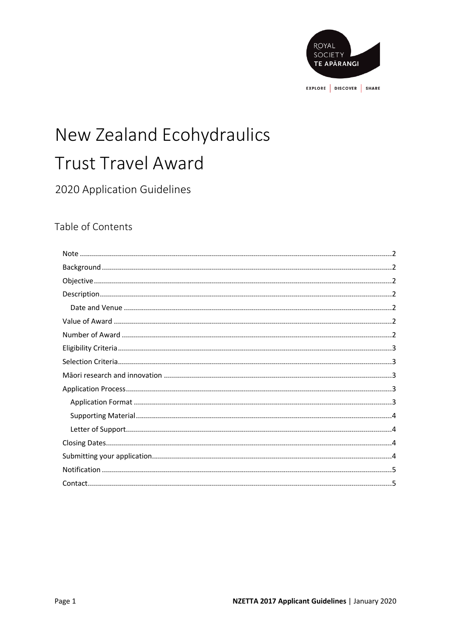

# New Zealand Ecohydraulics **Trust Travel Award**

# 2020 Application Guidelines

## Table of Contents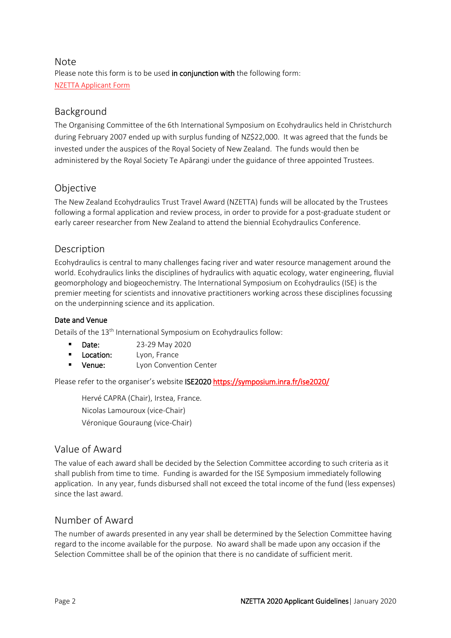#### Note Please note this form is to be used in conjunction with the following form: [NZETTA Applicant Form](http://royalsociety.org.nz/what-we-do/funds-and-opportunities/new-zealand-ecohydraulics-trust-travel-award/)

## Background

The Organising Committee of the 6th International Symposium on Ecohydraulics held in Christchurch during February 2007 ended up with surplus funding of NZ\$22,000. It was agreed that the funds be invested under the auspices of the Royal Society of New Zealand. The funds would then be administered by the Royal Society Te Apārangi under the guidance of three appointed Trustees.

#### Objective

The New Zealand Ecohydraulics Trust Travel Award (NZETTA) funds will be allocated by the Trustees following a formal application and review process, in order to provide for a post-graduate student or early career researcher from New Zealand to attend the biennial Ecohydraulics Conference.

## Description

Ecohydraulics is central to many challenges facing river and water resource management around the world. Ecohydraulics links the disciplines of hydraulics with aquatic ecology, water engineering, fluvial geomorphology and biogeochemistry. The International Symposium on Ecohydraulics (ISE) is the premier meeting for scientists and innovative practitioners working across these disciplines focussing on the underpinning science and its application.

#### Date and Venue

Details of the 13<sup>th</sup> International Symposium on Ecohydraulics follow:

- **Date:** 23-29 May 2020
- **Location:** Lyon, France
- **Venue:** Lyon Convention Center

Please refer to the organiser's website ISE2020 https://symposium.inra.fr/ise2020/

[Hervé CAPRA \(Chair\),](https://symposium.inra.fr/ise2020/The-Symposium/Organizers/Herve-CAPRA-Chair) Irstea, France. Nicolas Lamouroux (vice-Chair) Véronique Gouraung (vice-Chair)

## Value of Award

The value of each award shall be decided by the Selection Committee according to such criteria as it shall publish from time to time. Funding is awarded for the ISE Symposium immediately following application. In any year, funds disbursed shall not exceed the total income of the fund (less expenses) since the last award.

## Number of Award

The number of awards presented in any year shall be determined by the Selection Committee having regard to the income available for the purpose. No award shall be made upon any occasion if the Selection Committee shall be of the opinion that there is no candidate of sufficient merit.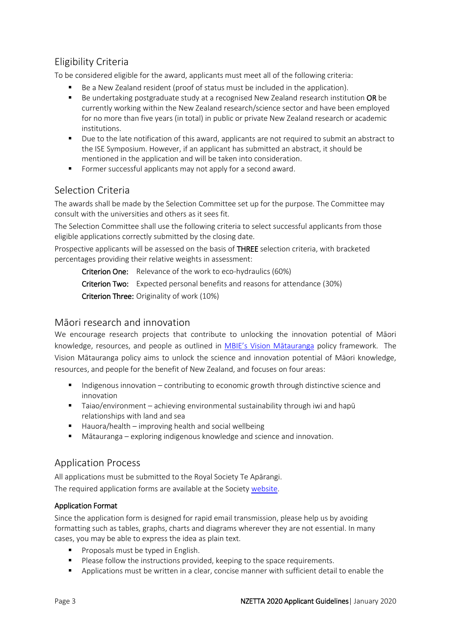## Eligibility Criteria

To be considered eligible for the award, applicants must meet all of the following criteria:

- Be a New Zealand resident (proof of status must be included in the application).
- Be undertaking postgraduate study at a recognised New Zealand research institution OR be currently working within the New Zealand research/science sector and have been employed for no more than five years (in total) in public or private New Zealand research or academic institutions.
- Due to the late notification of this award, applicants are not required to submit an abstract to the ISE Symposium. However, if an applicant has submitted an abstract, it should be mentioned in the application and will be taken into consideration.
- Former successful applicants may not apply for a second award.

#### Selection Criteria

The awards shall be made by the Selection Committee set up for the purpose. The Committee may consult with the universities and others as it sees fit.

The Selection Committee shall use the following criteria to select successful applicants from those eligible applications correctly submitted by the closing date.

Prospective applicants will be assessed on the basis of THREE selection criteria, with bracketed percentages providing their relative weights in assessment:

Criterion One: Relevance of the work to eco-hydraulics (60%) Criterion Two: Expected personal benefits and reasons for attendance (30%) Criterion Three: Originality of work (10%)

#### Māori research and innovation

We encourage research projects that contribute to unlocking the innovation potential of Māori knowledge, resources, and people as outlined in [MBIE's Vision Mātauranga](http://www.mbie.govt.nz/info-services/science-innovation/unlocking-maori-potential/?searchterm=Vision%20M%C4%81tauranga%20) policy framework. The Vision Mātauranga policy aims to unlock the science and innovation potential of Māori knowledge, resources, and people for the benefit of New Zealand, and focuses on four areas:

- Indigenous innovation contributing to economic growth through distinctive science and innovation
- Taiao/environment achieving environmental sustainability through iwi and hapū relationships with land and sea
- $\blacksquare$  Hauora/health improving health and social wellbeing
- Mātauranga exploring indigenous knowledge and science and innovation.

## Application Process

All applications must be submitted to the Royal Society Te Apārangi.

The required application forms are available at the Society [website](http://royalsociety.org.nz/what-we-do/funds-and-opportunities/new-zealand-ecohydraulics-trust-travel-award/).

#### Application Format

Since the application form is designed for rapid email transmission, please help us by avoiding formatting such as tables, graphs, charts and diagrams wherever they are not essential. In many cases, you may be able to express the idea as plain text.

- **Proposals must be typed in English.**
- Please follow the instructions provided, keeping to the space requirements.
- Applications must be written in a clear, concise manner with sufficient detail to enable the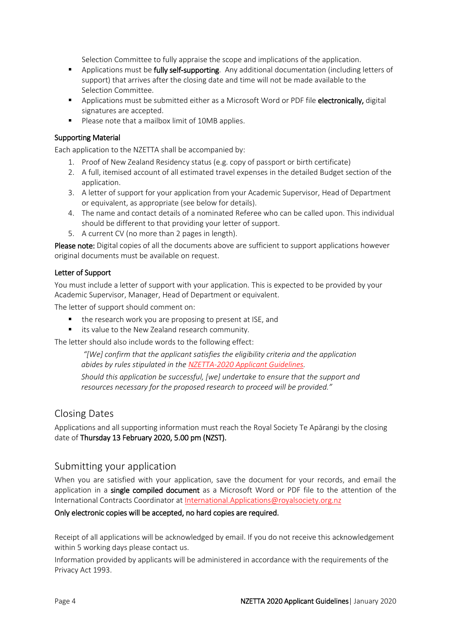Selection Committee to fully appraise the scope and implications of the application.

- Applications must be fully self-supporting. Any additional documentation (including letters of support) that arrives after the closing date and time will not be made available to the Selection Committee.
- **Applications must be submitted either as a Microsoft Word or PDF file electronically, digital** signatures are accepted.
- **Please note that a mailbox limit of 10MB applies.**

#### Supporting Material

Each application to the NZETTA shall be accompanied by:

- 1. Proof of New Zealand Residency status (e.g. copy of passport or birth certificate)
- 2. A full, itemised account of all estimated travel expenses in the detailed Budget section of the application.
- 3. A letter of support for your application from your Academic Supervisor, Head of Department or equivalent, as appropriate (see below for details).
- 4. The name and contact details of a nominated Referee who can be called upon. This individual should be different to that providing your letter of support.
- 5. A current CV (no more than 2 pages in length).

Please note: Digital copies of all the documents above are sufficient to support applications however original documents must be available on request.

#### Letter of Support

You must include a letter of support with your application. This is expected to be provided by your Academic Supervisor, Manager, Head of Department or equivalent.

The letter of support should comment on:

- the research work you are proposing to present at ISE, and
- **E** its value to the New Zealand research community.

The letter should also include words to the following effect:

*"[We] confirm that the applicant satisfies the eligibility criteria and the application abides by rules stipulated in the NZETTA-2020 [Applicant Guidelines.](https://www.royalsociety.org.nz/what-we-do/funds-and-opportunities/new-zealand-ecohydraulics-trust-travel-award/nz-ecohydraulics-how-to-apply/)*

*Should this application be successful, [we] undertake to ensure that the support and resources necessary for the proposed research to proceed will be provided."*

#### Closing Dates

Applications and all supporting information must reach the Royal Society Te Apārangi by the closing date of Thursday 13 February 2020, 5.00 pm (NZST).

#### Submitting your application

When you are satisfied with your application, save the document for your records, and email the application in a single compiled document as a Microsoft Word or PDF file to the attention of the International Contracts Coordinator at [International.Applications@royalsociety.org.nz](mailto:International.Applications@royalsociety.org.nz)

#### Only electronic copies will be accepted, no hard copies are required.

Receipt of all applications will be acknowledged by email. If you do not receive this acknowledgement within 5 working days please contact us.

Information provided by applicants will be administered in accordance with the requirements of the Privacy Act 1993.